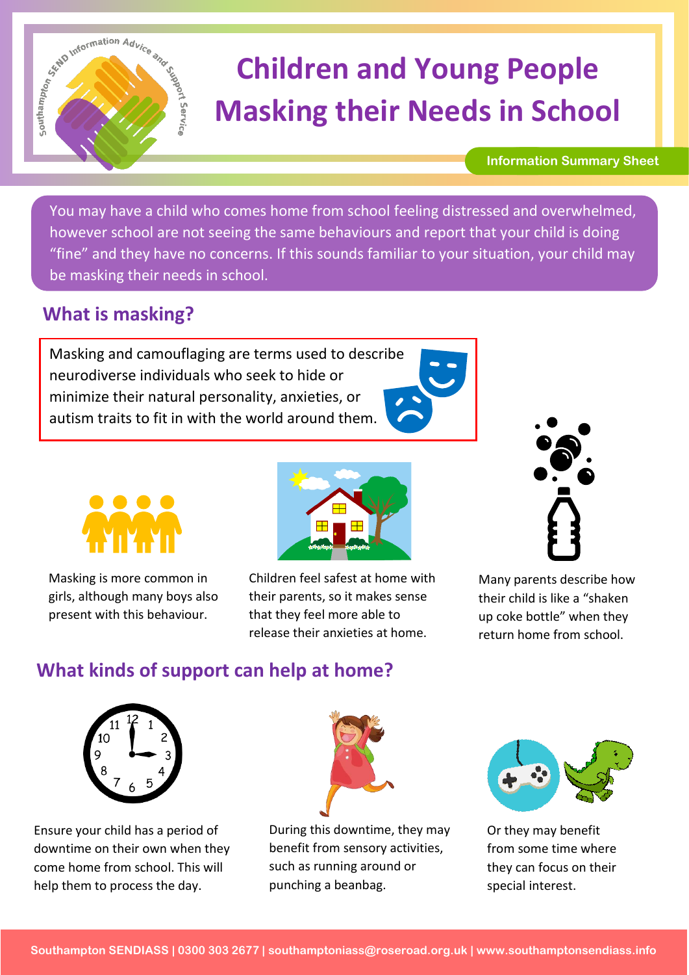

# **Children and Young People Masking their Needs in School**

#### **Information Summary Sheet**

You may have a child who comes home from school feeling distressed and overwhelmed, however school are not seeing the same behaviours and report that your child is doing "fine" and they have no concerns. If this sounds familiar to your situation, your child may be masking their needs in school.

## **What is masking?**

Masking and camouflaging are terms used to describe neurodiverse individuals who seek to hide or minimize their natural personality, anxieties, or autism traits to fit in with the world around them.





Masking is more common in girls, although many boys also present with this behaviour.



Children feel safest at home with their parents, so it makes sense that they feel more able to release their anxieties at home.



Many parents describe how their child is like a "shaken up coke bottle" when they return home from school.

## **What kinds of support can help at home?**



Ensure your child has a period of downtime on their own when they come home from school. This will help them to process the day.



During this downtime, they may benefit from sensory activities, such as running around or punching a beanbag.



Or they may benefit from some time where they can focus on their special interest.